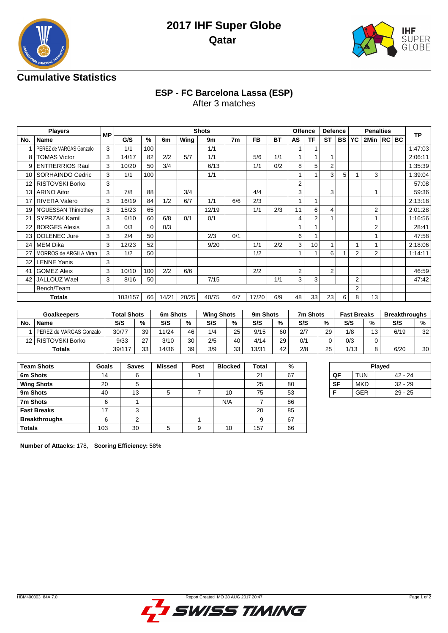



## **Cumulative Statistics**

# **ESP - FC Barcelona Lassa (ESP)**

After 3 matches

|     | <b>Players</b>          |           |         |             |       |       | <b>Shots</b> |     |           |           | Offence        |           | <b>Defence</b> |           | <b>Penalties</b> |                |  |         | <b>TP</b> |
|-----|-------------------------|-----------|---------|-------------|-------|-------|--------------|-----|-----------|-----------|----------------|-----------|----------------|-----------|------------------|----------------|--|---------|-----------|
| No. | Name                    | <b>MP</b> | G/S     | %           | 6m    | Wing  | 9m           | 7m  | <b>FB</b> | <b>BT</b> | <b>AS</b>      | <b>TF</b> | <b>ST</b>      | <b>BS</b> | YC               | 2Min           |  | $RC$ BC |           |
|     | PEREZ de VARGAS Gonzalo | 3         | 1/1     | 100         |       |       | 1/1          |     |           |           | 1              |           |                |           |                  |                |  |         | 1:47:03   |
| 8   | <b>TOMAS Victor</b>     | 3         | 14/17   | 82          | 2/2   | 5/7   | 1/1          |     | 5/6       | 1/1       | 1              |           |                |           |                  |                |  |         | 2:06:11   |
| 9   | <b>ENTRERRIOS Raul</b>  | 3         | 10/20   | 50          | 3/4   |       | 6/13         |     | 1/1       | 0/2       | 8              | 5         | 2              |           |                  |                |  |         | 1:35:39   |
| 10  | SORHAINDO Cedric        | 3         | 1/1     | 100         |       |       | 1/1          |     |           |           |                |           | 3              | 5         |                  | 3              |  |         | 1:39:04   |
| 12  | <b>RISTOVSKI Borko</b>  | 3         |         |             |       |       |              |     |           |           | $\overline{2}$ |           |                |           |                  |                |  |         | 57:08     |
| 13  | <b>ARINO Aitor</b>      | 3         | 7/8     | 88          |       | 3/4   |              |     | 4/4       |           | 3              |           | 3              |           |                  |                |  |         | 59:36     |
| 17  | <b>RIVERA Valero</b>    | 3         | 16/19   | 84          | 1/2   | 6/7   | 1/1          | 6/6 | 2/3       |           | 1              | 1         |                |           |                  |                |  |         | 2:13:18   |
| 19  | N'GUESSAN Thimothev     | 3         | 15/23   | 65          |       |       | 12/19        |     | 1/1       | 2/3       | 11             | 6         | 4              |           |                  | $\overline{2}$ |  |         | 2:01:28   |
| 21  | <b>SYPRZAK Kamil</b>    | 3         | 6/10    | 60          | 6/8   | 0/1   | 0/1          |     |           |           | 4              | 2         |                |           |                  |                |  |         | 1:16:56   |
| 22  | <b>BORGES Alexis</b>    | 3         | 0/3     | $\mathbf 0$ | 0/3   |       |              |     |           |           |                |           |                |           |                  | 2              |  |         | 28:41     |
| 23  | <b>DOLENEC Jure</b>     | 3         | 2/4     | 50          |       |       | 2/3          | 0/1 |           |           | 6              | 1         |                |           |                  |                |  |         | 47:58     |
| 24  | <b>MEM Dika</b>         | 3         | 12/23   | 52          |       |       | 9/20         |     | 1/1       | 2/2       | 3              | 10        |                |           |                  |                |  |         | 2:18:06   |
| 27  | MORROS de ARGILA Viran  | 3         | 1/2     | 50          |       |       |              |     | 1/2       |           | 1              | 1         | 6              |           | $\overline{2}$   | $\overline{2}$ |  |         | 1:14:11   |
| 32  | <b>LENNE Yanis</b>      | 3         |         |             |       |       |              |     |           |           |                |           |                |           |                  |                |  |         |           |
| 41  | <b>GOMEZ Aleix</b>      | 3         | 10/10   | 100         | 2/2   | 6/6   |              |     | 2/2       |           | 2              |           | 2              |           |                  |                |  |         | 46:59     |
| 42  | JALLOUZ Wael            | 3         | 8/16    | 50          |       |       | 7/15         |     |           | 1/1       | 3              | 3         |                |           | $\overline{2}$   |                |  |         | 47:42     |
|     | Bench/Team              |           |         |             |       |       |              |     |           |           |                |           |                |           | $\overline{2}$   |                |  |         |           |
|     | <b>Totals</b>           |           | 103/157 | 66          | 14/21 | 20/25 | 40/75        | 6/7 | 17/20     | 6/9       | 48             | 33        | 23             | 6         | 8                | 13             |  |         |           |

| <b>Goalkeepers</b> |                           | Total Shots |    | 6m Shots |    | <b>Wing Shots</b> |      | 9m Shots |    | 7m Shots |    | <b>Fast Breaks</b> |    | <b>Breakthroughs</b> |    |
|--------------------|---------------------------|-------------|----|----------|----|-------------------|------|----------|----|----------|----|--------------------|----|----------------------|----|
| No.                | <b>Name</b>               | S/S         | %  | S/S      | %  | S/S               | $\%$ | S/S      | %  | S/S      | %  | S/S                | %  | S/S                  | %  |
|                    | l PEREZ de VARGAS Gonzalo | 30/77       | 39 | 11/24    | 46 | 1/4               | 25   | 9/15     | 60 | 2/7      | 29 | 1/8                | 13 | 6/19                 | 32 |
| 12.                | RISTOVSKI Borko           | 9/33        | 27 | 3/10     | 30 | 2/5               | 40   | 4/14     | 29 | 0/1      | 0  | 0/3                |    |                      |    |
|                    | Totals                    | 39/117      | 33 | 14/36    | 39 | 3/9               | 33   | 13/31    | 42 | 2/8      | 25 | 1/13               |    | 6/20                 | 30 |

| <b>Team Shots</b>    | Goals | <b>Saves</b> | <b>Missed</b> | Post | <b>Blocked</b> | Total | %  |
|----------------------|-------|--------------|---------------|------|----------------|-------|----|
| 6m Shots             | 14    | 6            |               |      |                | 21    | 67 |
| <b>Wing Shots</b>    | 20    | 5            |               |      |                | 25    | 80 |
| 9m Shots             | 40    | 13           | 5             |      | 10             | 75    | 53 |
| 7m Shots             | 6     |              |               |      | N/A            |       | 86 |
| <b>Fast Breaks</b>   | 17    | 3            |               |      |                | 20    | 85 |
| <b>Breakthroughs</b> | 6     | 2            |               |      |                | 9     | 67 |
| <b>Totals</b>        | 103   | 30           | 5             | 9    | 10             | 157   | 66 |

| Played    |            |           |  |  |  |  |  |  |  |  |  |
|-----------|------------|-----------|--|--|--|--|--|--|--|--|--|
| ОF        | <b>TUN</b> | 42 - 24   |  |  |  |  |  |  |  |  |  |
| <b>SF</b> | <b>MKD</b> | $32 - 29$ |  |  |  |  |  |  |  |  |  |
|           | <b>GER</b> | $29 - 25$ |  |  |  |  |  |  |  |  |  |
|           |            |           |  |  |  |  |  |  |  |  |  |

**Number of Attacks:** 178, **Scoring Efficiency:** 58%